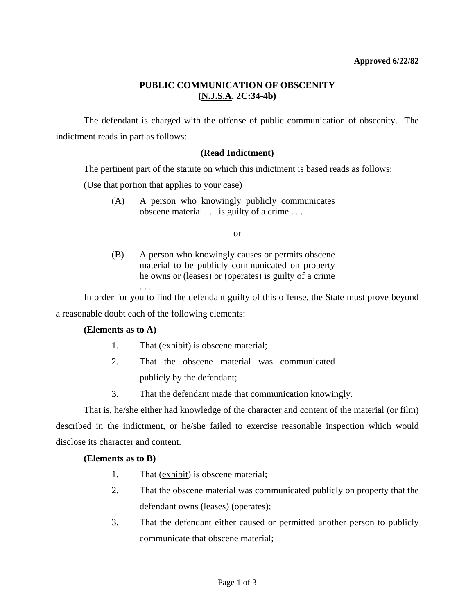# **PUBLIC COMMUNICATION OF OBSCENITY (N.J.S.A. 2C:34-4b)**

 The defendant is charged with the offense of public communication of obscenity. The indictment reads in part as follows:

## **(Read Indictment)**

The pertinent part of the statute on which this indictment is based reads as follows:

(Use that portion that applies to your case)

 (A) A person who knowingly publicly communicates obscene material . . . is guilty of a crime . . .

or

(B) A person who knowingly causes or permits obscene material to be publicly communicated on property he owns or (leases) or (operates) is guilty of a crime

 In order for you to find the defendant guilty of this offense, the State must prove beyond a reasonable doubt each of the following elements:

## **(Elements as to A)**

. . .

- 1. That <u>(exhibit)</u> is obscene material;
- 2. That the obscene material was communicated publicly by the defendant;
- 3. That the defendant made that communication knowingly.

 That is, he/she either had knowledge of the character and content of the material (or film) described in the indictment, or he/she failed to exercise reasonable inspection which would disclose its character and content.

### **(Elements as to B)**

- 1. That (exhibit) is obscene material;
- 2. That the obscene material was communicated publicly on property that the defendant owns (leases) (operates);
- 3. That the defendant either caused or permitted another person to publicly communicate that obscene material;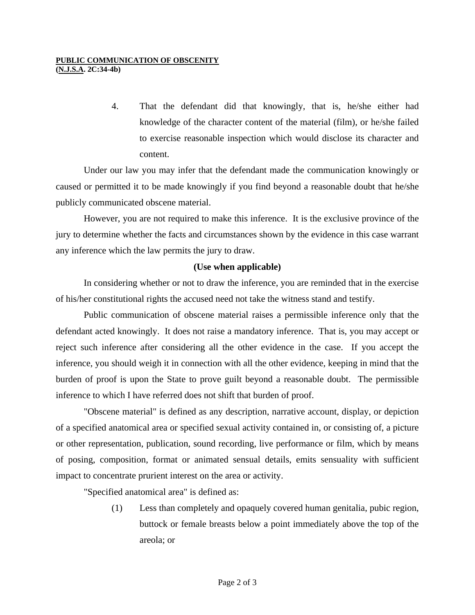#### **PUBLIC COMMUNICATION OF OBSCENITY (N.J.S.A. 2C:34-4b)**

4. That the defendant did that knowingly, that is, he/she either had knowledge of the character content of the material (film), or he/she failed to exercise reasonable inspection which would disclose its character and content.

 Under our law you may infer that the defendant made the communication knowingly or caused or permitted it to be made knowingly if you find beyond a reasonable doubt that he/she publicly communicated obscene material.

 However, you are not required to make this inference. It is the exclusive province of the jury to determine whether the facts and circumstances shown by the evidence in this case warrant any inference which the law permits the jury to draw.

# **(Use when applicable)**

 In considering whether or not to draw the inference, you are reminded that in the exercise of his/her constitutional rights the accused need not take the witness stand and testify.

 Public communication of obscene material raises a permissible inference only that the defendant acted knowingly. It does not raise a mandatory inference. That is, you may accept or reject such inference after considering all the other evidence in the case. If you accept the inference, you should weigh it in connection with all the other evidence, keeping in mind that the burden of proof is upon the State to prove guilt beyond a reasonable doubt. The permissible inference to which I have referred does not shift that burden of proof.

 "Obscene material" is defined as any description, narrative account, display, or depiction of a specified anatomical area or specified sexual activity contained in, or consisting of, a picture or other representation, publication, sound recording, live performance or film, which by means of posing, composition, format or animated sensual details, emits sensuality with sufficient impact to concentrate prurient interest on the area or activity.

"Specified anatomical area" is defined as:

 (1) Less than completely and opaquely covered human genitalia, pubic region, buttock or female breasts below a point immediately above the top of the areola; or